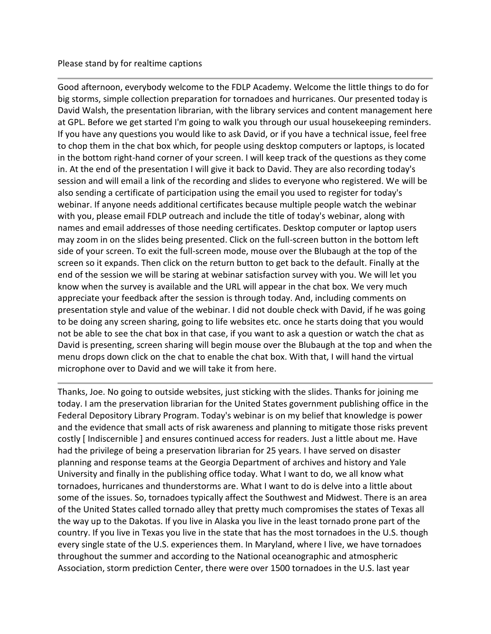## Please stand by for realtime captions

Good afternoon, everybody welcome to the FDLP Academy. Welcome the little things to do for big storms, simple collection preparation for tornadoes and hurricanes. Our presented today is David Walsh, the presentation librarian, with the library services and content management here at GPL. Before we get started I'm going to walk you through our usual housekeeping reminders. If you have any questions you would like to ask David, or if you have a technical issue, feel free to chop them in the chat box which, for people using desktop computers or laptops, is located in the bottom right-hand corner of your screen. I will keep track of the questions as they come in. At the end of the presentation I will give it back to David. They are also recording today's session and will email a link of the recording and slides to everyone who registered. We will be also sending a certificate of participation using the email you used to register for today's webinar. If anyone needs additional certificates because multiple people watch the webinar with you, please email FDLP outreach and include the title of today's webinar, along with names and email addresses of those needing certificates. Desktop computer or laptop users may zoom in on the slides being presented. Click on the full-screen button in the bottom left side of your screen. To exit the full-screen mode, mouse over the Blubaugh at the top of the screen so it expands. Then click on the return button to get back to the default. Finally at the end of the session we will be staring at webinar satisfaction survey with you. We will let you know when the survey is available and the URL will appear in the chat box. We very much appreciate your feedback after the session is through today. And, including comments on presentation style and value of the webinar. I did not double check with David, if he was going to be doing any screen sharing, going to life websites etc. once he starts doing that you would not be able to see the chat box in that case, if you want to ask a question or watch the chat as David is presenting, screen sharing will begin mouse over the Blubaugh at the top and when the menu drops down click on the chat to enable the chat box. With that, I will hand the virtual microphone over to David and we will take it from here.

Thanks, Joe. No going to outside websites, just sticking with the slides. Thanks for joining me today. I am the preservation librarian for the United States government publishing office in the Federal Depository Library Program. Today's webinar is on my belief that knowledge is power and the evidence that small acts of risk awareness and planning to mitigate those risks prevent costly [ Indiscernible ] and ensures continued access for readers. Just a little about me. Have had the privilege of being a preservation librarian for 25 years. I have served on disaster planning and response teams at the Georgia Department of archives and history and Yale University and finally in the publishing office today. What I want to do, we all know what tornadoes, hurricanes and thunderstorms are. What I want to do is delve into a little about some of the issues. So, tornadoes typically affect the Southwest and Midwest. There is an area of the United States called tornado alley that pretty much compromises the states of Texas all the way up to the Dakotas. If you live in Alaska you live in the least tornado prone part of the country. If you live in Texas you live in the state that has the most tornadoes in the U.S. though every single state of the U.S. experiences them. In Maryland, where I live, we have tornadoes throughout the summer and according to the National oceanographic and atmospheric Association, storm prediction Center, there were over 1500 tornadoes in the U.S. last year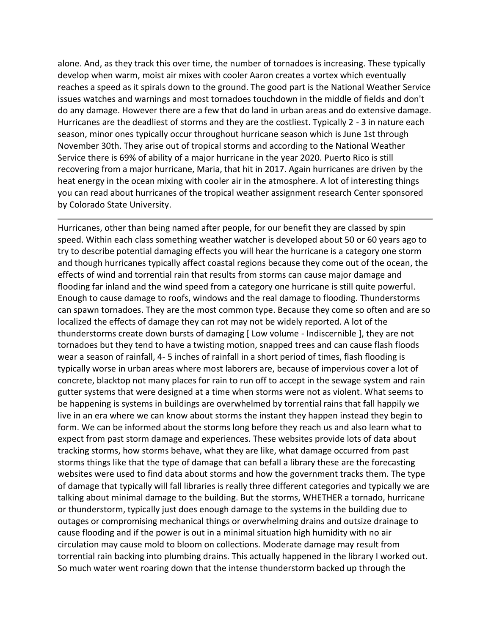alone. And, as they track this over time, the number of tornadoes is increasing. These typically develop when warm, moist air mixes with cooler Aaron creates a vortex which eventually reaches a speed as it spirals down to the ground. The good part is the National Weather Service issues watches and warnings and most tornadoes touchdown in the middle of fields and don't do any damage. However there are a few that do land in urban areas and do extensive damage. Hurricanes are the deadliest of storms and they are the costliest. Typically 2 - 3 in nature each season, minor ones typically occur throughout hurricane season which is June 1st through November 30th. They arise out of tropical storms and according to the National Weather Service there is 69% of ability of a major hurricane in the year 2020. Puerto Rico is still recovering from a major hurricane, Maria, that hit in 2017. Again hurricanes are driven by the heat energy in the ocean mixing with cooler air in the atmosphere. A lot of interesting things you can read about hurricanes of the tropical weather assignment research Center sponsored by Colorado State University.

Hurricanes, other than being named after people, for our benefit they are classed by spin speed. Within each class something weather watcher is developed about 50 or 60 years ago to try to describe potential damaging effects you will hear the hurricane is a category one storm and though hurricanes typically affect coastal regions because they come out of the ocean, the effects of wind and torrential rain that results from storms can cause major damage and flooding far inland and the wind speed from a category one hurricane is still quite powerful. Enough to cause damage to roofs, windows and the real damage to flooding. Thunderstorms can spawn tornadoes. They are the most common type. Because they come so often and are so localized the effects of damage they can rot may not be widely reported. A lot of the thunderstorms create down bursts of damaging [ Low volume - Indiscernible ], they are not tornadoes but they tend to have a twisting motion, snapped trees and can cause flash floods wear a season of rainfall, 4- 5 inches of rainfall in a short period of times, flash flooding is typically worse in urban areas where most laborers are, because of impervious cover a lot of concrete, blacktop not many places for rain to run off to accept in the sewage system and rain gutter systems that were designed at a time when storms were not as violent. What seems to be happening is systems in buildings are overwhelmed by torrential rains that fall happily we live in an era where we can know about storms the instant they happen instead they begin to form. We can be informed about the storms long before they reach us and also learn what to expect from past storm damage and experiences. These websites provide lots of data about tracking storms, how storms behave, what they are like, what damage occurred from past storms things like that the type of damage that can befall a library these are the forecasting websites were used to find data about storms and how the government tracks them. The type of damage that typically will fall libraries is really three different categories and typically we are talking about minimal damage to the building. But the storms, WHETHER a tornado, hurricane or thunderstorm, typically just does enough damage to the systems in the building due to outages or compromising mechanical things or overwhelming drains and outsize drainage to cause flooding and if the power is out in a minimal situation high humidity with no air circulation may cause mold to bloom on collections. Moderate damage may result from torrential rain backing into plumbing drains. This actually happened in the library I worked out. So much water went roaring down that the intense thunderstorm backed up through the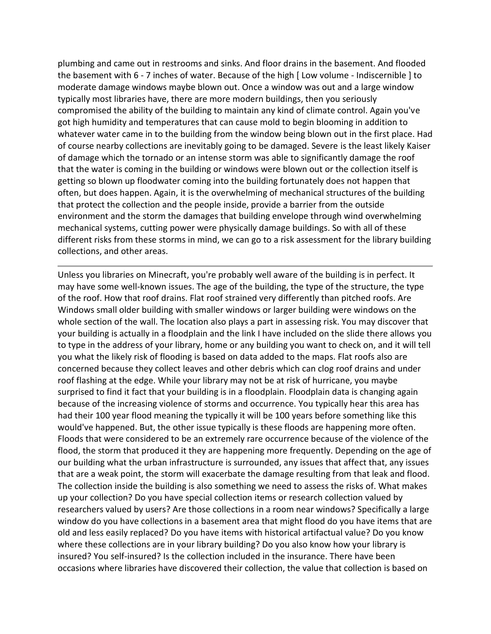plumbing and came out in restrooms and sinks. And floor drains in the basement. And flooded the basement with 6 - 7 inches of water. Because of the high [ Low volume - Indiscernible ] to moderate damage windows maybe blown out. Once a window was out and a large window typically most libraries have, there are more modern buildings, then you seriously compromised the ability of the building to maintain any kind of climate control. Again you've got high humidity and temperatures that can cause mold to begin blooming in addition to whatever water came in to the building from the window being blown out in the first place. Had of course nearby collections are inevitably going to be damaged. Severe is the least likely Kaiser of damage which the tornado or an intense storm was able to significantly damage the roof that the water is coming in the building or windows were blown out or the collection itself is getting so blown up floodwater coming into the building fortunately does not happen that often, but does happen. Again, it is the overwhelming of mechanical structures of the building that protect the collection and the people inside, provide a barrier from the outside environment and the storm the damages that building envelope through wind overwhelming mechanical systems, cutting power were physically damage buildings. So with all of these different risks from these storms in mind, we can go to a risk assessment for the library building collections, and other areas.

Unless you libraries on Minecraft, you're probably well aware of the building is in perfect. It may have some well-known issues. The age of the building, the type of the structure, the type of the roof. How that roof drains. Flat roof strained very differently than pitched roofs. Are Windows small older building with smaller windows or larger building were windows on the whole section of the wall. The location also plays a part in assessing risk. You may discover that your building is actually in a floodplain and the link I have included on the slide there allows you to type in the address of your library, home or any building you want to check on, and it will tell you what the likely risk of flooding is based on data added to the maps. Flat roofs also are concerned because they collect leaves and other debris which can clog roof drains and under roof flashing at the edge. While your library may not be at risk of hurricane, you maybe surprised to find it fact that your building is in a floodplain. Floodplain data is changing again because of the increasing violence of storms and occurrence. You typically hear this area has had their 100 year flood meaning the typically it will be 100 years before something like this would've happened. But, the other issue typically is these floods are happening more often. Floods that were considered to be an extremely rare occurrence because of the violence of the flood, the storm that produced it they are happening more frequently. Depending on the age of our building what the urban infrastructure is surrounded, any issues that affect that, any issues that are a weak point, the storm will exacerbate the damage resulting from that leak and flood. The collection inside the building is also something we need to assess the risks of. What makes up your collection? Do you have special collection items or research collection valued by researchers valued by users? Are those collections in a room near windows? Specifically a large window do you have collections in a basement area that might flood do you have items that are old and less easily replaced? Do you have items with historical artifactual value? Do you know where these collections are in your library building? Do you also know how your library is insured? You self-insured? Is the collection included in the insurance. There have been occasions where libraries have discovered their collection, the value that collection is based on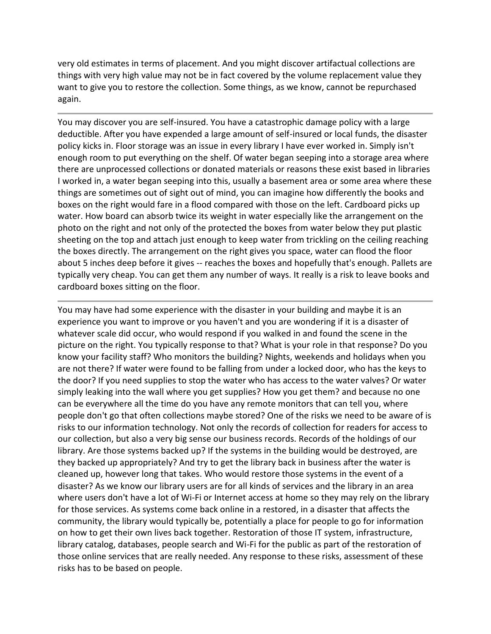very old estimates in terms of placement. And you might discover artifactual collections are things with very high value may not be in fact covered by the volume replacement value they want to give you to restore the collection. Some things, as we know, cannot be repurchased again.

You may discover you are self-insured. You have a catastrophic damage policy with a large deductible. After you have expended a large amount of self-insured or local funds, the disaster policy kicks in. Floor storage was an issue in every library I have ever worked in. Simply isn't enough room to put everything on the shelf. Of water began seeping into a storage area where there are unprocessed collections or donated materials or reasons these exist based in libraries I worked in, a water began seeping into this, usually a basement area or some area where these things are sometimes out of sight out of mind, you can imagine how differently the books and boxes on the right would fare in a flood compared with those on the left. Cardboard picks up water. How board can absorb twice its weight in water especially like the arrangement on the photo on the right and not only of the protected the boxes from water below they put plastic sheeting on the top and attach just enough to keep water from trickling on the ceiling reaching the boxes directly. The arrangement on the right gives you space, water can flood the floor about 5 inches deep before it gives -- reaches the boxes and hopefully that's enough. Pallets are typically very cheap. You can get them any number of ways. It really is a risk to leave books and cardboard boxes sitting on the floor.

You may have had some experience with the disaster in your building and maybe it is an experience you want to improve or you haven't and you are wondering if it is a disaster of whatever scale did occur, who would respond if you walked in and found the scene in the picture on the right. You typically response to that? What is your role in that response? Do you know your facility staff? Who monitors the building? Nights, weekends and holidays when you are not there? If water were found to be falling from under a locked door, who has the keys to the door? If you need supplies to stop the water who has access to the water valves? Or water simply leaking into the wall where you get supplies? How you get them? and because no one can be everywhere all the time do you have any remote monitors that can tell you, where people don't go that often collections maybe stored? One of the risks we need to be aware of is risks to our information technology. Not only the records of collection for readers for access to our collection, but also a very big sense our business records. Records of the holdings of our library. Are those systems backed up? If the systems in the building would be destroyed, are they backed up appropriately? And try to get the library back in business after the water is cleaned up, however long that takes. Who would restore those systems in the event of a disaster? As we know our library users are for all kinds of services and the library in an area where users don't have a lot of Wi-Fi or Internet access at home so they may rely on the library for those services. As systems come back online in a restored, in a disaster that affects the community, the library would typically be, potentially a place for people to go for information on how to get their own lives back together. Restoration of those IT system, infrastructure, library catalog, databases, people search and Wi-Fi for the public as part of the restoration of those online services that are really needed. Any response to these risks, assessment of these risks has to be based on people.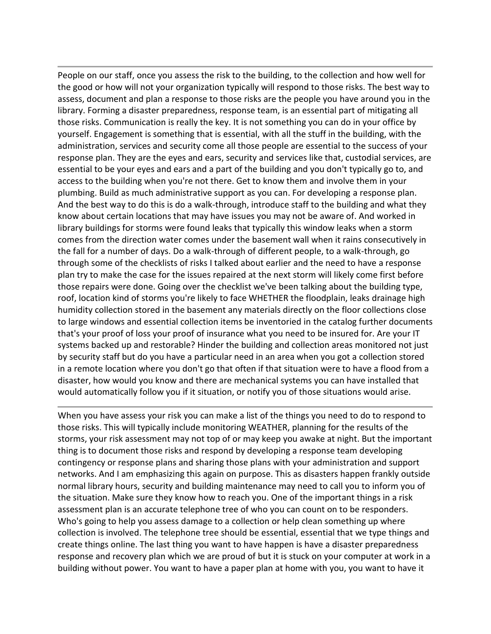People on our staff, once you assess the risk to the building, to the collection and how well for the good or how will not your organization typically will respond to those risks. The best way to assess, document and plan a response to those risks are the people you have around you in the library. Forming a disaster preparedness, response team, is an essential part of mitigating all those risks. Communication is really the key. It is not something you can do in your office by yourself. Engagement is something that is essential, with all the stuff in the building, with the administration, services and security come all those people are essential to the success of your response plan. They are the eyes and ears, security and services like that, custodial services, are essential to be your eyes and ears and a part of the building and you don't typically go to, and access to the building when you're not there. Get to know them and involve them in your plumbing. Build as much administrative support as you can. For developing a response plan. And the best way to do this is do a walk-through, introduce staff to the building and what they know about certain locations that may have issues you may not be aware of. And worked in library buildings for storms were found leaks that typically this window leaks when a storm comes from the direction water comes under the basement wall when it rains consecutively in the fall for a number of days. Do a walk-through of different people, to a walk-through, go through some of the checklists of risks I talked about earlier and the need to have a response plan try to make the case for the issues repaired at the next storm will likely come first before those repairs were done. Going over the checklist we've been talking about the building type, roof, location kind of storms you're likely to face WHETHER the floodplain, leaks drainage high humidity collection stored in the basement any materials directly on the floor collections close to large windows and essential collection items be inventoried in the catalog further documents that's your proof of loss your proof of insurance what you need to be insured for. Are your IT systems backed up and restorable? Hinder the building and collection areas monitored not just by security staff but do you have a particular need in an area when you got a collection stored in a remote location where you don't go that often if that situation were to have a flood from a disaster, how would you know and there are mechanical systems you can have installed that would automatically follow you if it situation, or notify you of those situations would arise.

When you have assess your risk you can make a list of the things you need to do to respond to those risks. This will typically include monitoring WEATHER, planning for the results of the storms, your risk assessment may not top of or may keep you awake at night. But the important thing is to document those risks and respond by developing a response team developing contingency or response plans and sharing those plans with your administration and support networks. And I am emphasizing this again on purpose. This as disasters happen frankly outside normal library hours, security and building maintenance may need to call you to inform you of the situation. Make sure they know how to reach you. One of the important things in a risk assessment plan is an accurate telephone tree of who you can count on to be responders. Who's going to help you assess damage to a collection or help clean something up where collection is involved. The telephone tree should be essential, essential that we type things and create things online. The last thing you want to have happen is have a disaster preparedness response and recovery plan which we are proud of but it is stuck on your computer at work in a building without power. You want to have a paper plan at home with you, you want to have it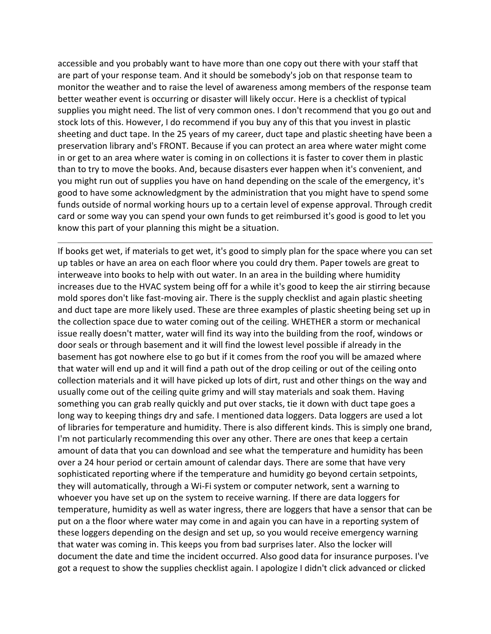accessible and you probably want to have more than one copy out there with your staff that are part of your response team. And it should be somebody's job on that response team to monitor the weather and to raise the level of awareness among members of the response team better weather event is occurring or disaster will likely occur. Here is a checklist of typical supplies you might need. The list of very common ones. I don't recommend that you go out and stock lots of this. However, I do recommend if you buy any of this that you invest in plastic sheeting and duct tape. In the 25 years of my career, duct tape and plastic sheeting have been a preservation library and's FRONT. Because if you can protect an area where water might come in or get to an area where water is coming in on collections it is faster to cover them in plastic than to try to move the books. And, because disasters ever happen when it's convenient, and you might run out of supplies you have on hand depending on the scale of the emergency, it's good to have some acknowledgment by the administration that you might have to spend some funds outside of normal working hours up to a certain level of expense approval. Through credit card or some way you can spend your own funds to get reimbursed it's good is good to let you know this part of your planning this might be a situation.

If books get wet, if materials to get wet, it's good to simply plan for the space where you can set up tables or have an area on each floor where you could dry them. Paper towels are great to interweave into books to help with out water. In an area in the building where humidity increases due to the HVAC system being off for a while it's good to keep the air stirring because mold spores don't like fast-moving air. There is the supply checklist and again plastic sheeting and duct tape are more likely used. These are three examples of plastic sheeting being set up in the collection space due to water coming out of the ceiling. WHETHER a storm or mechanical issue really doesn't matter, water will find its way into the building from the roof, windows or door seals or through basement and it will find the lowest level possible if already in the basement has got nowhere else to go but if it comes from the roof you will be amazed where that water will end up and it will find a path out of the drop ceiling or out of the ceiling onto collection materials and it will have picked up lots of dirt, rust and other things on the way and usually come out of the ceiling quite grimy and will stay materials and soak them. Having something you can grab really quickly and put over stacks, tie it down with duct tape goes a long way to keeping things dry and safe. I mentioned data loggers. Data loggers are used a lot of libraries for temperature and humidity. There is also different kinds. This is simply one brand, I'm not particularly recommending this over any other. There are ones that keep a certain amount of data that you can download and see what the temperature and humidity has been over a 24 hour period or certain amount of calendar days. There are some that have very sophisticated reporting where if the temperature and humidity go beyond certain setpoints, they will automatically, through a Wi-Fi system or computer network, sent a warning to whoever you have set up on the system to receive warning. If there are data loggers for temperature, humidity as well as water ingress, there are loggers that have a sensor that can be put on a the floor where water may come in and again you can have in a reporting system of these loggers depending on the design and set up, so you would receive emergency warning that water was coming in. This keeps you from bad surprises later. Also the locker will document the date and time the incident occurred. Also good data for insurance purposes. I've got a request to show the supplies checklist again. I apologize I didn't click advanced or clicked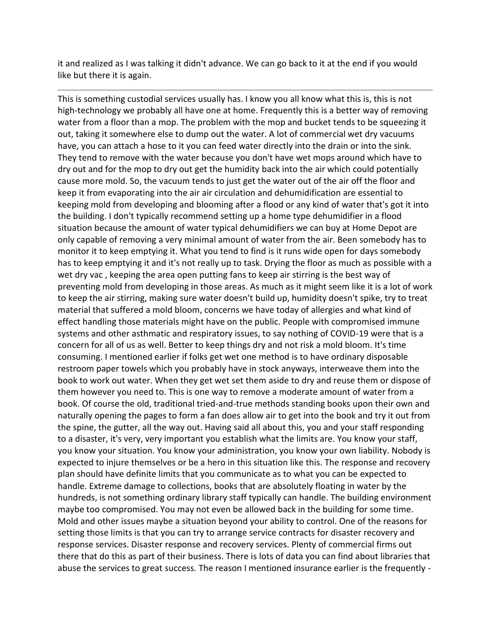it and realized as I was talking it didn't advance. We can go back to it at the end if you would like but there it is again.

This is something custodial services usually has. I know you all know what this is, this is not high-technology we probably all have one at home. Frequently this is a better way of removing water from a floor than a mop. The problem with the mop and bucket tends to be squeezing it out, taking it somewhere else to dump out the water. A lot of commercial wet dry vacuums have, you can attach a hose to it you can feed water directly into the drain or into the sink. They tend to remove with the water because you don't have wet mops around which have to dry out and for the mop to dry out get the humidity back into the air which could potentially cause more mold. So, the vacuum tends to just get the water out of the air off the floor and keep it from evaporating into the air air circulation and dehumidification are essential to keeping mold from developing and blooming after a flood or any kind of water that's got it into the building. I don't typically recommend setting up a home type dehumidifier in a flood situation because the amount of water typical dehumidifiers we can buy at Home Depot are only capable of removing a very minimal amount of water from the air. Been somebody has to monitor it to keep emptying it. What you tend to find is it runs wide open for days somebody has to keep emptying it and it's not really up to task. Drying the floor as much as possible with a wet dry vac , keeping the area open putting fans to keep air stirring is the best way of preventing mold from developing in those areas. As much as it might seem like it is a lot of work to keep the air stirring, making sure water doesn't build up, humidity doesn't spike, try to treat material that suffered a mold bloom, concerns we have today of allergies and what kind of effect handling those materials might have on the public. People with compromised immune systems and other asthmatic and respiratory issues, to say nothing of COVID-19 were that is a concern for all of us as well. Better to keep things dry and not risk a mold bloom. It's time consuming. I mentioned earlier if folks get wet one method is to have ordinary disposable restroom paper towels which you probably have in stock anyways, interweave them into the book to work out water. When they get wet set them aside to dry and reuse them or dispose of them however you need to. This is one way to remove a moderate amount of water from a book. Of course the old, traditional tried-and-true methods standing books upon their own and naturally opening the pages to form a fan does allow air to get into the book and try it out from the spine, the gutter, all the way out. Having said all about this, you and your staff responding to a disaster, it's very, very important you establish what the limits are. You know your staff, you know your situation. You know your administration, you know your own liability. Nobody is expected to injure themselves or be a hero in this situation like this. The response and recovery plan should have definite limits that you communicate as to what you can be expected to handle. Extreme damage to collections, books that are absolutely floating in water by the hundreds, is not something ordinary library staff typically can handle. The building environment maybe too compromised. You may not even be allowed back in the building for some time. Mold and other issues maybe a situation beyond your ability to control. One of the reasons for setting those limits is that you can try to arrange service contracts for disaster recovery and response services. Disaster response and recovery services. Plenty of commercial firms out there that do this as part of their business. There is lots of data you can find about libraries that abuse the services to great success. The reason I mentioned insurance earlier is the frequently -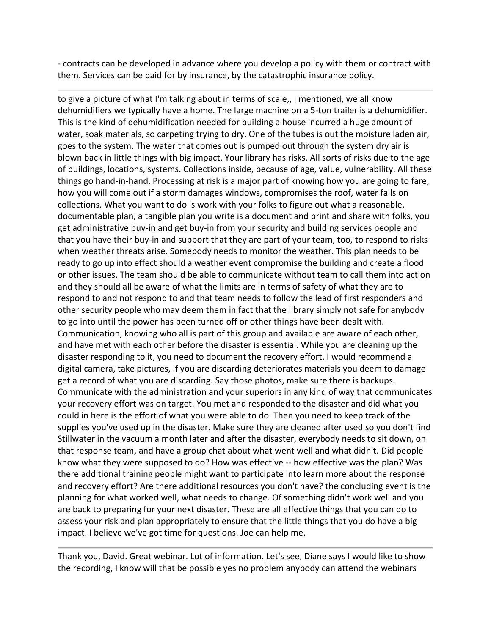- contracts can be developed in advance where you develop a policy with them or contract with them. Services can be paid for by insurance, by the catastrophic insurance policy.

to give a picture of what I'm talking about in terms of scale,, I mentioned, we all know dehumidifiers we typically have a home. The large machine on a 5-ton trailer is a dehumidifier. This is the kind of dehumidification needed for building a house incurred a huge amount of water, soak materials, so carpeting trying to dry. One of the tubes is out the moisture laden air, goes to the system. The water that comes out is pumped out through the system dry air is blown back in little things with big impact. Your library has risks. All sorts of risks due to the age of buildings, locations, systems. Collections inside, because of age, value, vulnerability. All these things go hand-in-hand. Processing at risk is a major part of knowing how you are going to fare, how you will come out if a storm damages windows, compromises the roof, water falls on collections. What you want to do is work with your folks to figure out what a reasonable, documentable plan, a tangible plan you write is a document and print and share with folks, you get administrative buy-in and get buy-in from your security and building services people and that you have their buy-in and support that they are part of your team, too, to respond to risks when weather threats arise. Somebody needs to monitor the weather. This plan needs to be ready to go up into effect should a weather event compromise the building and create a flood or other issues. The team should be able to communicate without team to call them into action and they should all be aware of what the limits are in terms of safety of what they are to respond to and not respond to and that team needs to follow the lead of first responders and other security people who may deem them in fact that the library simply not safe for anybody to go into until the power has been turned off or other things have been dealt with. Communication, knowing who all is part of this group and available are aware of each other, and have met with each other before the disaster is essential. While you are cleaning up the disaster responding to it, you need to document the recovery effort. I would recommend a digital camera, take pictures, if you are discarding deteriorates materials you deem to damage get a record of what you are discarding. Say those photos, make sure there is backups. Communicate with the administration and your superiors in any kind of way that communicates your recovery effort was on target. You met and responded to the disaster and did what you could in here is the effort of what you were able to do. Then you need to keep track of the supplies you've used up in the disaster. Make sure they are cleaned after used so you don't find Stillwater in the vacuum a month later and after the disaster, everybody needs to sit down, on that response team, and have a group chat about what went well and what didn't. Did people know what they were supposed to do? How was effective -- how effective was the plan? Was there additional training people might want to participate into learn more about the response and recovery effort? Are there additional resources you don't have? the concluding event is the planning for what worked well, what needs to change. Of something didn't work well and you are back to preparing for your next disaster. These are all effective things that you can do to assess your risk and plan appropriately to ensure that the little things that you do have a big impact. I believe we've got time for questions. Joe can help me.

Thank you, David. Great webinar. Lot of information. Let's see, Diane says I would like to show the recording, I know will that be possible yes no problem anybody can attend the webinars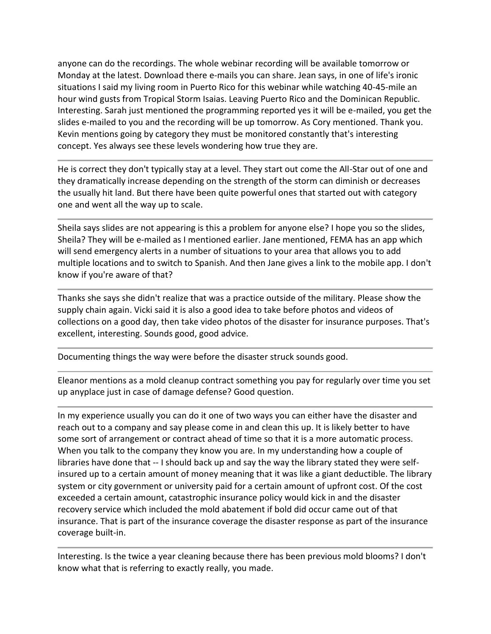anyone can do the recordings. The whole webinar recording will be available tomorrow or Monday at the latest. Download there e-mails you can share. Jean says, in one of life's ironic situations I said my living room in Puerto Rico for this webinar while watching 40-45-mile an hour wind gusts from Tropical Storm Isaias. Leaving Puerto Rico and the Dominican Republic. Interesting. Sarah just mentioned the programming reported yes it will be e-mailed, you get the slides e-mailed to you and the recording will be up tomorrow. As Cory mentioned. Thank you. Kevin mentions going by category they must be monitored constantly that's interesting concept. Yes always see these levels wondering how true they are.

He is correct they don't typically stay at a level. They start out come the All-Star out of one and they dramatically increase depending on the strength of the storm can diminish or decreases the usually hit land. But there have been quite powerful ones that started out with category one and went all the way up to scale.

Sheila says slides are not appearing is this a problem for anyone else? I hope you so the slides, Sheila? They will be e-mailed as I mentioned earlier. Jane mentioned, FEMA has an app which will send emergency alerts in a number of situations to your area that allows you to add multiple locations and to switch to Spanish. And then Jane gives a link to the mobile app. I don't know if you're aware of that?

Thanks she says she didn't realize that was a practice outside of the military. Please show the supply chain again. Vicki said it is also a good idea to take before photos and videos of collections on a good day, then take video photos of the disaster for insurance purposes. That's excellent, interesting. Sounds good, good advice.

Documenting things the way were before the disaster struck sounds good.

Eleanor mentions as a mold cleanup contract something you pay for regularly over time you set up anyplace just in case of damage defense? Good question.

In my experience usually you can do it one of two ways you can either have the disaster and reach out to a company and say please come in and clean this up. It is likely better to have some sort of arrangement or contract ahead of time so that it is a more automatic process. When you talk to the company they know you are. In my understanding how a couple of libraries have done that -- I should back up and say the way the library stated they were selfinsured up to a certain amount of money meaning that it was like a giant deductible. The library system or city government or university paid for a certain amount of upfront cost. Of the cost exceeded a certain amount, catastrophic insurance policy would kick in and the disaster recovery service which included the mold abatement if bold did occur came out of that insurance. That is part of the insurance coverage the disaster response as part of the insurance coverage built-in.

Interesting. Is the twice a year cleaning because there has been previous mold blooms? I don't know what that is referring to exactly really, you made.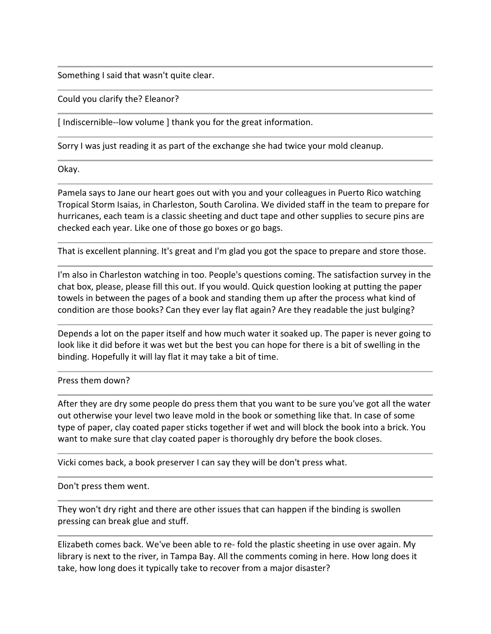Something I said that wasn't quite clear.

Could you clarify the? Eleanor?

[ Indiscernible--low volume ] thank you for the great information.

Sorry I was just reading it as part of the exchange she had twice your mold cleanup.

Okay.

Pamela says to Jane our heart goes out with you and your colleagues in Puerto Rico watching Tropical Storm Isaias, in Charleston, South Carolina. We divided staff in the team to prepare for hurricanes, each team is a classic sheeting and duct tape and other supplies to secure pins are checked each year. Like one of those go boxes or go bags.

That is excellent planning. It's great and I'm glad you got the space to prepare and store those.

I'm also in Charleston watching in too. People's questions coming. The satisfaction survey in the chat box, please, please fill this out. If you would. Quick question looking at putting the paper towels in between the pages of a book and standing them up after the process what kind of condition are those books? Can they ever lay flat again? Are they readable the just bulging?

Depends a lot on the paper itself and how much water it soaked up. The paper is never going to look like it did before it was wet but the best you can hope for there is a bit of swelling in the binding. Hopefully it will lay flat it may take a bit of time.

## Press them down?

After they are dry some people do press them that you want to be sure you've got all the water out otherwise your level two leave mold in the book or something like that. In case of some type of paper, clay coated paper sticks together if wet and will block the book into a brick. You want to make sure that clay coated paper is thoroughly dry before the book closes.

Vicki comes back, a book preserver I can say they will be don't press what.

Don't press them went.

They won't dry right and there are other issues that can happen if the binding is swollen pressing can break glue and stuff.

Elizabeth comes back. We've been able to re- fold the plastic sheeting in use over again. My library is next to the river, in Tampa Bay. All the comments coming in here. How long does it take, how long does it typically take to recover from a major disaster?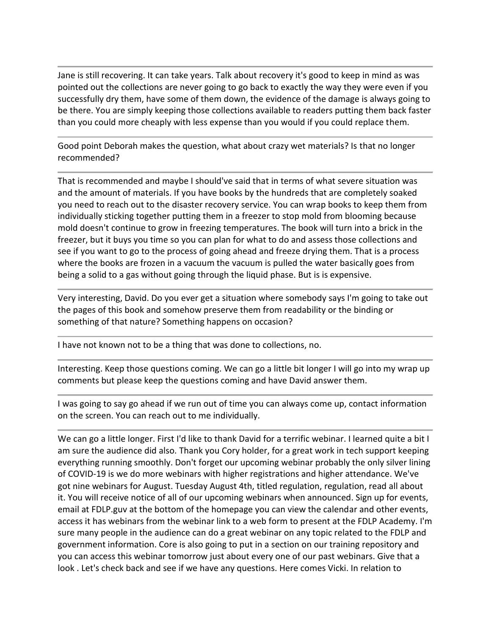Jane is still recovering. It can take years. Talk about recovery it's good to keep in mind as was pointed out the collections are never going to go back to exactly the way they were even if you successfully dry them, have some of them down, the evidence of the damage is always going to be there. You are simply keeping those collections available to readers putting them back faster than you could more cheaply with less expense than you would if you could replace them.

Good point Deborah makes the question, what about crazy wet materials? Is that no longer recommended?

That is recommended and maybe I should've said that in terms of what severe situation was and the amount of materials. If you have books by the hundreds that are completely soaked you need to reach out to the disaster recovery service. You can wrap books to keep them from individually sticking together putting them in a freezer to stop mold from blooming because mold doesn't continue to grow in freezing temperatures. The book will turn into a brick in the freezer, but it buys you time so you can plan for what to do and assess those collections and see if you want to go to the process of going ahead and freeze drying them. That is a process where the books are frozen in a vacuum the vacuum is pulled the water basically goes from being a solid to a gas without going through the liquid phase. But is is expensive.

Very interesting, David. Do you ever get a situation where somebody says I'm going to take out the pages of this book and somehow preserve them from readability or the binding or something of that nature? Something happens on occasion?

I have not known not to be a thing that was done to collections, no.

Interesting. Keep those questions coming. We can go a little bit longer I will go into my wrap up comments but please keep the questions coming and have David answer them.

I was going to say go ahead if we run out of time you can always come up, contact information on the screen. You can reach out to me individually.

We can go a little longer. First I'd like to thank David for a terrific webinar. I learned quite a bit I am sure the audience did also. Thank you Cory holder, for a great work in tech support keeping everything running smoothly. Don't forget our upcoming webinar probably the only silver lining of COVID-19 is we do more webinars with higher registrations and higher attendance. We've got nine webinars for August. Tuesday August 4th, titled regulation, regulation, read all about it. You will receive notice of all of our upcoming webinars when announced. Sign up for events, email at FDLP.guv at the bottom of the homepage you can view the calendar and other events, access it has webinars from the webinar link to a web form to present at the FDLP Academy. I'm sure many people in the audience can do a great webinar on any topic related to the FDLP and government information. Core is also going to put in a section on our training repository and you can access this webinar tomorrow just about every one of our past webinars. Give that a look . Let's check back and see if we have any questions. Here comes Vicki. In relation to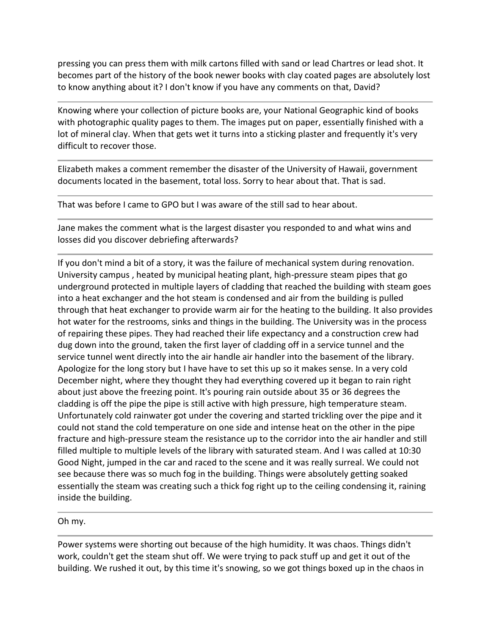pressing you can press them with milk cartons filled with sand or lead Chartres or lead shot. It becomes part of the history of the book newer books with clay coated pages are absolutely lost to know anything about it? I don't know if you have any comments on that, David?

Knowing where your collection of picture books are, your National Geographic kind of books with photographic quality pages to them. The images put on paper, essentially finished with a lot of mineral clay. When that gets wet it turns into a sticking plaster and frequently it's very difficult to recover those.

Elizabeth makes a comment remember the disaster of the University of Hawaii, government documents located in the basement, total loss. Sorry to hear about that. That is sad.

That was before I came to GPO but I was aware of the still sad to hear about.

Jane makes the comment what is the largest disaster you responded to and what wins and losses did you discover debriefing afterwards?

If you don't mind a bit of a story, it was the failure of mechanical system during renovation. University campus , heated by municipal heating plant, high-pressure steam pipes that go underground protected in multiple layers of cladding that reached the building with steam goes into a heat exchanger and the hot steam is condensed and air from the building is pulled through that heat exchanger to provide warm air for the heating to the building. It also provides hot water for the restrooms, sinks and things in the building. The University was in the process of repairing these pipes. They had reached their life expectancy and a construction crew had dug down into the ground, taken the first layer of cladding off in a service tunnel and the service tunnel went directly into the air handle air handler into the basement of the library. Apologize for the long story but I have have to set this up so it makes sense. In a very cold December night, where they thought they had everything covered up it began to rain right about just above the freezing point. It's pouring rain outside about 35 or 36 degrees the cladding is off the pipe the pipe is still active with high pressure, high temperature steam. Unfortunately cold rainwater got under the covering and started trickling over the pipe and it could not stand the cold temperature on one side and intense heat on the other in the pipe fracture and high-pressure steam the resistance up to the corridor into the air handler and still filled multiple to multiple levels of the library with saturated steam. And I was called at 10:30 Good Night, jumped in the car and raced to the scene and it was really surreal. We could not see because there was so much fog in the building. Things were absolutely getting soaked essentially the steam was creating such a thick fog right up to the ceiling condensing it, raining inside the building.

Oh my.

Power systems were shorting out because of the high humidity. It was chaos. Things didn't work, couldn't get the steam shut off. We were trying to pack stuff up and get it out of the building. We rushed it out, by this time it's snowing, so we got things boxed up in the chaos in